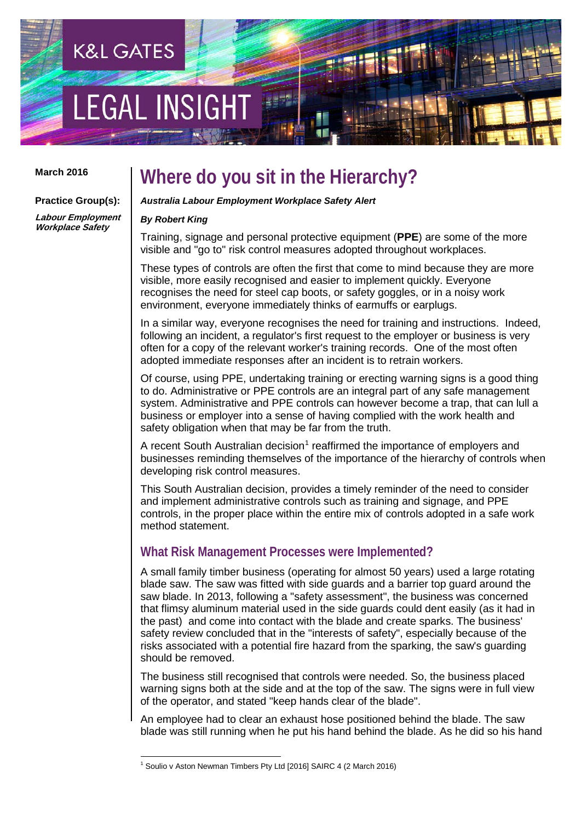# **LEGAL INSIGH**

#### **March 2016**

**Practice Group(s):**

### **Where do you sit in the Hierarchy?**

#### *Australia Labour Employment Workplace Safety Alert*

#### *By Robert King* **Labour Employment Workplace Safety**

**K&L GATES** 

Training, signage and personal protective equipment (**PPE**) are some of the more visible and "go to" risk control measures adopted throughout workplaces.

These types of controls are often the first that come to mind because they are more visible, more easily recognised and easier to implement quickly. Everyone recognises the need for steel cap boots, or safety goggles, or in a noisy work environment, everyone immediately thinks of earmuffs or earplugs.

In a similar way, everyone recognises the need for training and instructions. Indeed, following an incident, a regulator's first request to the employer or business is very often for a copy of the relevant worker's training records. One of the most often adopted immediate responses after an incident is to retrain workers.

Of course, using PPE, undertaking training or erecting warning signs is a good thing to do. Administrative or PPE controls are an integral part of any safe management system. Administrative and PPE controls can however become a trap, that can lull a business or employer into a sense of having complied with the work health and safety obligation when that may be far from the truth.

A recent South Australian decision<sup>[1](#page-0-0)</sup> reaffirmed the importance of employers and businesses reminding themselves of the importance of the hierarchy of controls when developing risk control measures.

This South Australian decision, provides a timely reminder of the need to consider and implement administrative controls such as training and signage, and PPE controls, in the proper place within the entire mix of controls adopted in a safe work method statement.

### **What Risk Management Processes were Implemented?**

A small family timber business (operating for almost 50 years) used a large rotating blade saw. The saw was fitted with side guards and a barrier top guard around the saw blade. In 2013, following a "safety assessment", the business was concerned that flimsy aluminum material used in the side guards could dent easily (as it had in the past) and come into contact with the blade and create sparks. The business' safety review concluded that in the "interests of safety", especially because of the risks associated with a potential fire hazard from the sparking, the saw's guarding should be removed.

The business still recognised that controls were needed. So, the business placed warning signs both at the side and at the top of the saw. The signs were in full view of the operator, and stated "keep hands clear of the blade".

An employee had to clear an exhaust hose positioned behind the blade. The saw blade was still running when he put his hand behind the blade. As he did so his hand

<span id="page-0-0"></span><sup>&</sup>lt;sup>1</sup> Soulio v Aston Newman Timbers Pty Ltd [2016] SAIRC 4 (2 March 2016)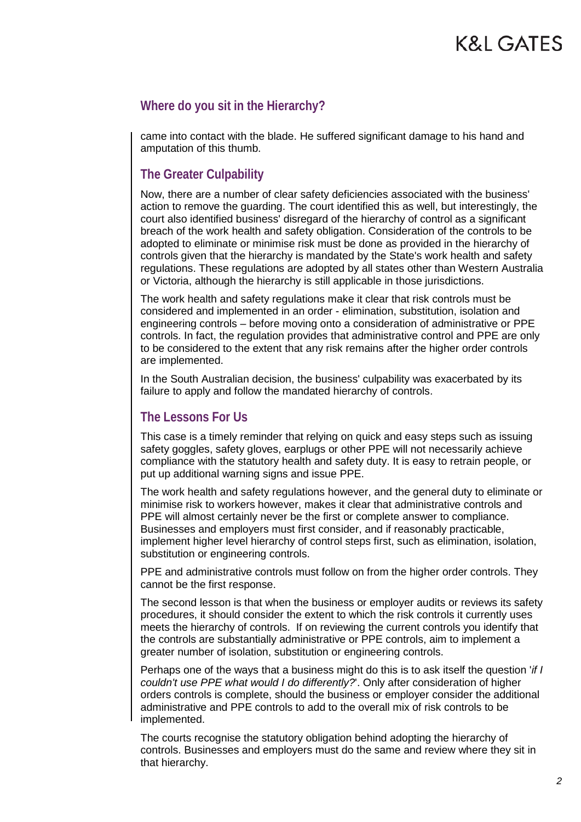### **K&L GATES**

#### **Where do you sit in the Hierarchy?**

came into contact with the blade. He suffered significant damage to his hand and amputation of this thumb.

#### **The Greater Culpability**

Now, there are a number of clear safety deficiencies associated with the business' action to remove the guarding. The court identified this as well, but interestingly, the court also identified business' disregard of the hierarchy of control as a significant breach of the work health and safety obligation. Consideration of the controls to be adopted to eliminate or minimise risk must be done as provided in the hierarchy of controls given that the hierarchy is mandated by the State's work health and safety regulations. These regulations are adopted by all states other than Western Australia or Victoria, although the hierarchy is still applicable in those jurisdictions.

The work health and safety regulations make it clear that risk controls must be considered and implemented in an order - elimination, substitution, isolation and engineering controls – before moving onto a consideration of administrative or PPE controls. In fact, the regulation provides that administrative control and PPE are only to be considered to the extent that any risk remains after the higher order controls are implemented.

In the South Australian decision, the business' culpability was exacerbated by its failure to apply and follow the mandated hierarchy of controls.

#### **The Lessons For Us**

This case is a timely reminder that relying on quick and easy steps such as issuing safety goggles, safety gloves, earplugs or other PPE will not necessarily achieve compliance with the statutory health and safety duty. It is easy to retrain people, or put up additional warning signs and issue PPE.

The work health and safety regulations however, and the general duty to eliminate or minimise risk to workers however, makes it clear that administrative controls and PPE will almost certainly never be the first or complete answer to compliance. Businesses and employers must first consider, and if reasonably practicable, implement higher level hierarchy of control steps first, such as elimination, isolation, substitution or engineering controls.

PPE and administrative controls must follow on from the higher order controls. They cannot be the first response.

The second lesson is that when the business or employer audits or reviews its safety procedures, it should consider the extent to which the risk controls it currently uses meets the hierarchy of controls. If on reviewing the current controls you identify that the controls are substantially administrative or PPE controls, aim to implement a greater number of isolation, substitution or engineering controls.

Perhaps one of the ways that a business might do this is to ask itself the question '*if I couldn't use PPE what would I do differently?*'. Only after consideration of higher orders controls is complete, should the business or employer consider the additional administrative and PPE controls to add to the overall mix of risk controls to be implemented.

The courts recognise the statutory obligation behind adopting the hierarchy of controls. Businesses and employers must do the same and review where they sit in that hierarchy.